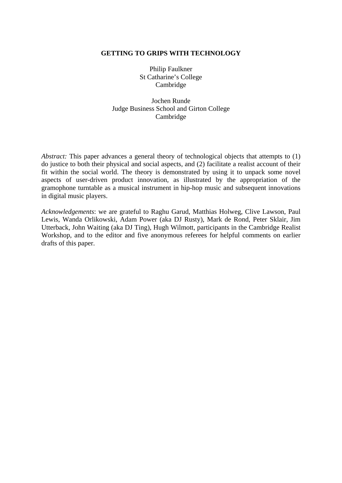#### **GETTING TO GRIPS WITH TECHNOLOGY**

Philip Faulkner St Catharine's College Cambridge

Jochen Runde Judge Business School and Girton College Cambridge

*Abstract:* This paper advances a general theory of technological objects that attempts to (1) do justice to both their physical and social aspects, and (2) facilitate a realist account of their fit within the social world. The theory is demonstrated by using it to unpack some novel aspects of user-driven product innovation, as illustrated by the appropriation of the gramophone turntable as a musical instrument in hip-hop music and subsequent innovations in digital music players.

*Acknowledgements*: we are grateful to Raghu Garud, Matthias Holweg, Clive Lawson, Paul Lewis, Wanda Orlikowski, Adam Power (aka DJ Rusty), Mark de Rond, Peter Sklair, Jim Utterback, John Waiting (aka DJ Ting), Hugh Wilmott, participants in the Cambridge Realist Workshop, and to the editor and five anonymous referees for helpful comments on earlier drafts of this paper.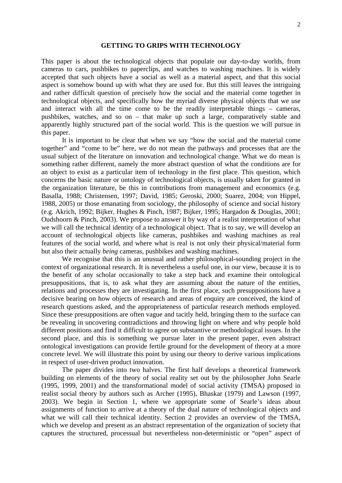#### **GETTING TO GRIPS WITH TECHNOLOGY**

This paper is about the technological objects that populate our day-to-day worlds, from cameras to cars, pushbikes to paperclips, and watches to washing machines. It is widely accepted that such objects have a social as well as a material aspect, and that this social aspect is somehow bound up with what they are used for. But this still leaves the intriguing and rather difficult question of precisely how the social and the material come together in technological objects, and specifically how the myriad diverse physical objects that we use and interact with all the time come to be the readily interpretable things – cameras, pushbikes, watches, and so on – that make up such a large, comparatively stable and apparently highly structured part of the social world. This is the question we will pursue in this paper.

It is important to be clear that when we say "how the social and the material come together" and "come to be" here, we do not mean the pathways and processes that are the usual subject of the literature on innovation and technological change. What we do mean is something rather different, namely the more abstract question of what the conditions are for an object to exist as a particular item of technology in the first place. This question, which concerns the basic nature or ontology of technological objects, is usually taken for granted in the organization literature, be this in contributions from management and economics (e.g. Basalla, 1988; Christensen, 1997; David, 1985; Geroski, 2000; Suarez, 2004; von Hippel, 1988, 2005) or those emanating from sociology, the philosophy of science and social history (e.g. Akrich, 1992; Bijker, Hughes & Pinch, 1987; Bijker, 1995; Hargadon & Douglas, 2001; Oudshoorn & Pinch, 2003). We propose to answer it by way of a realist interpretation of what we will call the technical identity of a technological object. That is to say, we will develop an account of technological objects like cameras, pushbikes and washing machines as real features of the social world, and where what is real is not only their physical/material form but also their actually *being* cameras, pushbikes and washing machines.

We recognise that this is an unusual and rather philosophical-sounding project in the context of organizational research. It is nevertheless a useful one, in our view, because it is to the benefit of any scholar occasionally to take a step back and examine their ontological presuppositions, that is, to ask what they are assuming about the nature of the entities, relations and processes they are investigating. In the first place, such presuppositions have a decisive bearing on how objects of research and areas of enquiry are conceived, the kind of research questions asked, and the appropriateness of particular research methods employed. Since these presuppositions are often vague and tacitly held, bringing them to the surface can be revealing in uncovering contradictions and throwing light on where and why people hold different positions and find it difficult to agree on substantive or methodological issues. In the second place, and this is something we pursue later in the present paper, even abstract ontological investigations can provide fertile ground for the development of theory at a more concrete level. We will illustrate this point by using our theory to derive various implications in respect of user-driven product innovation.

The paper divides into two halves. The first half develops a theoretical framework building on elements of the theory of social reality set out by the philosopher John Searle (1995, 1999, 2001) and the transformational model of social activity (TMSA) proposed in realist social theory by authors such as Archer (1995), Bhaskar (1979) and Lawson (1997, 2003). We begin in Section 1, where we appropriate some of Searle's ideas about assignments of function to arrive at a theory of the dual nature of technological objects and what we will call their technical identity. Section 2 provides an overview of the TMSA, which we develop and present as an abstract representation of the organization of society that captures the structured, processual but nevertheless non-deterministic or "open" aspect of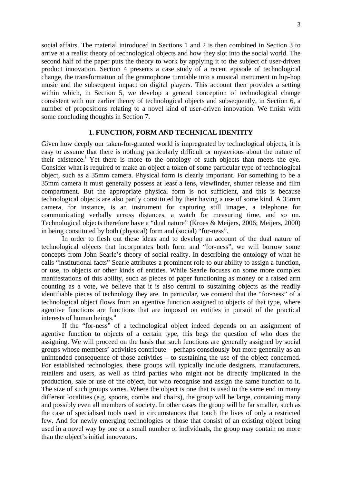social affairs. The material introduced in Sections 1 and 2 is then combined in Section 3 to arrive at a realist theory of technological objects and how they slot into the social world. The second half of the paper puts the theory to work by applying it to the subject of user-driven product innovation. Section 4 presents a case study of a recent episode of technological change, the transformation of the gramophone turntable into a musical instrument in hip-hop music and the subsequent impact on digital players. This account then provides a setting within which, in Section 5, we develop a general conception of technological change consistent with our earlier theory of technological objects and subsequently, in Section 6, a number of propositions relating to a novel kind of user-driven innovation. We finish with some concluding thoughts in Section 7.

## **1. FUNCTION, FORM AND TECHNICAL IDENTITY**

Given how deeply our taken-for-granted world is impregnated by technological objects, it is easy to assume that there is nothing particularly difficult or mysterious about the nature of their existence.<sup>i</sup> Yet there is more to the ontology of such objects than meets the eye. Consider what is required to make an object a token of some particular type of technological object, such as a 35mm camera. Physical form is clearly important. For something to be a 35mm camera it must generally possess at least a lens, viewfinder, shutter release and film compartment. But the appropriate physical form is not sufficient, and this is because technological objects are also partly constituted by their having a use of some kind. A 35mm camera, for instance, is an instrument for capturing still images, a telephone for communicating verbally across distances, a watch for measuring time, and so on. Technological objects therefore have a "dual nature" (Kroes & Meijers, 2006; Meijers, 2000) in being constituted by both (physical) form and (social) "for-ness".

In order to flesh out these ideas and to develop an account of the dual nature of technological objects that incorporates both form and "for-ness", we will borrow some concepts from John Searle's theory of social reality. In describing the ontology of what he calls "institutional facts" Searle attributes a prominent role to our ability to assign a function, or use, to objects or other kinds of entities. While Searle focuses on some more complex manifestations of this ability, such as pieces of paper functioning as money or a raised arm counting as a vote, we believe that it is also central to sustaining objects as the readily identifiable pieces of technology they are. In particular, we contend that the "for-ness" of a technological object flows from an agentive function assigned to objects of that type, where agentive functions are functions that are imposed on entities in pursuit of the practical interests of human beings.<sup>ii</sup>

 If the "for-ness" of a technological object indeed depends on an assignment of agentive function to objects of a certain type, this begs the question of who does the assigning. We will proceed on the basis that such functions are generally assigned by social groups whose members' activities contribute – perhaps consciously but more generally as an unintended consequence of those activities – to sustaining the use of the object concerned. For established technologies, these groups will typically include designers, manufacturers, retailers and users, as well as third parties who might not be directly implicated in the production, sale or use of the object, but who recognise and assign the same function to it. The size of such groups varies. Where the object is one that is used to the same end in many different localities (e.g. spoons, combs and chairs), the group will be large, containing many and possibly even all members of society. In other cases the group will be far smaller, such as the case of specialised tools used in circumstances that touch the lives of only a restricted few. And for newly emerging technologies or those that consist of an existing object being used in a novel way by one or a small number of individuals, the group may contain no more than the object's initial innovators.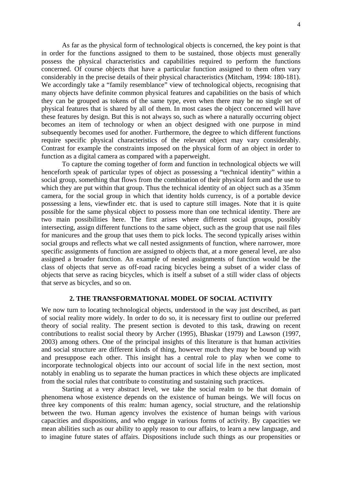As far as the physical form of technological objects is concerned, the key point is that in order for the functions assigned to them to be sustained, those objects must generally possess the physical characteristics and capabilities required to perform the functions concerned. Of course objects that have a particular function assigned to them often vary considerably in the precise details of their physical characteristics (Mitcham, 1994: 180-181). We accordingly take a "family resemblance" view of technological objects, recognising that many objects have definite common physical features and capabilities on the basis of which they can be grouped as tokens of the same type, even when there may be no single set of physical features that is shared by all of them. In most cases the object concerned will have these features by design. But this is not always so, such as where a naturally occurring object becomes an item of technology or when an object designed with one purpose in mind subsequently becomes used for another. Furthermore, the degree to which different functions require specific physical characteristics of the relevant object may vary considerably. Contrast for example the constraints imposed on the physical form of an object in order to function as a digital camera as compared with a paperweight.

 To capture the coming together of form and function in technological objects we will henceforth speak of particular types of object as possessing a "technical identity" within a social group, something that flows from the combination of their physical form and the use to which they are put within that group. Thus the technical identity of an object such as a 35mm camera, for the social group in which that identity holds currency, is of a portable device possessing a lens, viewfinder etc. that is used to capture still images. Note that it is quite possible for the same physical object to possess more than one technical identity. There are two main possibilities here. The first arises where different social groups, possibly intersecting, assign different functions to the same object, such as the group that use nail files for manicures and the group that uses them to pick locks. The second typically arises within social groups and reflects what we call nested assignments of function, where narrower, more specific assignments of function are assigned to objects that, at a more general level, are also assigned a broader function. An example of nested assignments of function would be the class of objects that serve as off-road racing bicycles being a subset of a wider class of objects that serve as racing bicycles, which is itself a subset of a still wider class of objects that serve as bicycles, and so on.

#### **2. THE TRANSFORMATIONAL MODEL OF SOCIAL ACTIVITY**

We now turn to locating technological objects, understood in the way just described, as part of social reality more widely. In order to do so, it is necessary first to outline our preferred theory of social reality. The present section is devoted to this task, drawing on recent contributions to realist social theory by Archer (1995), Bhaskar (1979) and Lawson (1997, 2003) among others. One of the principal insights of this literature is that human activities and social structure are different kinds of thing, however much they may be bound up with and presuppose each other. This insight has a central role to play when we come to incorporate technological objects into our account of social life in the next section, most notably in enabling us to separate the human practices in which these objects are implicated from the social rules that contribute to constituting and sustaining such practices.

Starting at a very abstract level, we take the social realm to be that domain of phenomena whose existence depends on the existence of human beings. We will focus on three key components of this realm: human agency, social structure, and the relationship between the two. Human agency involves the existence of human beings with various capacities and dispositions, and who engage in various forms of activity. By capacities we mean abilities such as our ability to apply reason to our affairs, to learn a new language, and to imagine future states of affairs. Dispositions include such things as our propensities or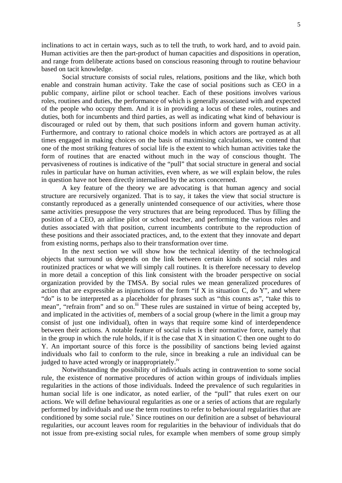inclinations to act in certain ways, such as to tell the truth, to work hard, and to avoid pain. Human activities are then the part-product of human capacities and dispositions in operation, and range from deliberate actions based on conscious reasoning through to routine behaviour based on tacit knowledge.

Social structure consists of social rules, relations, positions and the like, which both enable and constrain human activity. Take the case of social positions such as CEO in a public company, airline pilot or school teacher. Each of these positions involves various roles, routines and duties, the performance of which is generally associated with and expected of the people who occupy them. And it is in providing a locus of these roles, routines and duties, both for incumbents and third parties, as well as indicating what kind of behaviour is discouraged or ruled out by them, that such positions inform and govern human activity. Furthermore, and contrary to rational choice models in which actors are portrayed as at all times engaged in making choices on the basis of maximising calculations, we contend that one of the most striking features of social life is the extent to which human activities take the form of routines that are enacted without much in the way of conscious thought. The pervasiveness of routines is indicative of the "pull" that social structure in general and social rules in particular have on human activities, even where, as we will explain below, the rules in question have not been directly internalised by the actors concerned.

A key feature of the theory we are advocating is that human agency and social structure are recursively organized. That is to say, it takes the view that social structure is constantly reproduced as a generally unintended consequence of our activities, where those same activities presuppose the very structures that are being reproduced. Thus by filling the position of a CEO, an airline pilot or school teacher, and performing the various roles and duties associated with that position, current incumbents contribute to the reproduction of these positions and their associated practices, and, to the extent that they innovate and depart from existing norms, perhaps also to their transformation over time.

In the next section we will show how the technical identity of the technological objects that surround us depends on the link between certain kinds of social rules and routinized practices or what we will simply call routines. It is therefore necessary to develop in more detail a conception of this link consistent with the broader perspective on social organization provided by the TMSA. By social rules we mean generalized procedures of action that are expressible as injunctions of the form "if X in situation C, do Y", and where "do" is to be interpreted as a placeholder for phrases such as "this counts as", "take this to mean", "refrain from" and so on.<sup>iii</sup> These rules are sustained in virtue of being accepted by, and implicated in the activities of, members of a social group (where in the limit a group may consist of just one individual), often in ways that require some kind of interdependence between their actions. A notable feature of social rules is their normative force, namely that in the group in which the rule holds, if it is the case that  $X$  in situation  $C$  then one ought to do Y. An important source of this force is the possibility of sanctions being levied against individuals who fail to conform to the rule, since in breaking a rule an individual can be judged to have acted wrongly or inappropriately.<sup>iv</sup>

Notwithstanding the possibility of individuals acting in contravention to some social rule, the existence of normative procedures of action within groups of individuals implies regularities in the actions of those individuals. Indeed the prevalence of such regularities in human social life is one indicator, as noted earlier, of the "pull" that rules exert on our actions. We will define behavioural regularities as one or a series of actions that are regularly performed by individuals and use the term routines to refer to behavioural regularities that are conditioned by some social rule.<sup>v</sup> Since routines on our definition are a subset of behavioural regularities, our account leaves room for regularities in the behaviour of individuals that do not issue from pre-existing social rules, for example when members of some group simply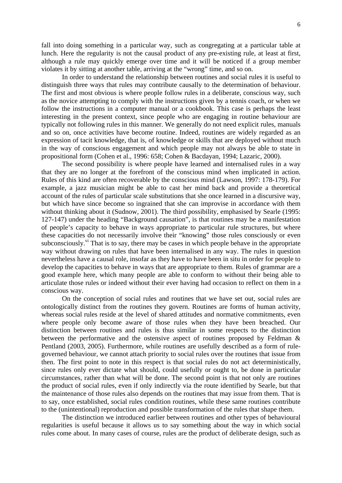fall into doing something in a particular way, such as congregating at a particular table at lunch. Here the regularity is not the causal product of any pre-existing rule, at least at first, although a rule may quickly emerge over time and it will be noticed if a group member violates it by sitting at another table, arriving at the "wrong" time, and so on.

In order to understand the relationship between routines and social rules it is useful to distinguish three ways that rules may contribute causally to the determination of behaviour. The first and most obvious is where people follow rules in a deliberate, conscious way, such as the novice attempting to comply with the instructions given by a tennis coach, or when we follow the instructions in a computer manual or a cookbook. This case is perhaps the least interesting in the present context, since people who are engaging in routine behaviour are typically not following rules in this manner. We generally do not need explicit rules, manuals and so on, once activities have become routine. Indeed, routines are widely regarded as an expression of tacit knowledge, that is, of knowledge or skills that are deployed without much in the way of conscious engagement and which people may not always be able to state in propositional form (Cohen et al., 1996: 658; Cohen & Bacdayan, 1994; Lazaric, 2000).

The second possibility is where people have learned and internalised rules in a way that they are no longer at the forefront of the conscious mind when implicated in action. Rules of this kind are often recoverable by the conscious mind (Lawson, 1997: 178-179). For example, a jazz musician might be able to cast her mind back and provide a theoretical account of the rules of particular scale substitutions that she once learned in a discursive way, but which have since become so ingrained that she can improvise in accordance with them without thinking about it (Sudnow, 2001). The third possibility, emphasised by Searle (1995: 127-147) under the heading "Background causation", is that routines may be a manifestation of people's capacity to behave in ways appropriate to particular rule structures, but where these capacities do not necessarily involve their "knowing" those rules consciously or even subconsciously.<sup>vi</sup> That is to say, there may be cases in which people behave in the appropriate way without drawing on rules that have been internalised in any way. The rules in question nevertheless have a causal role, insofar as they have to have been in situ in order for people to develop the capacities to behave in ways that are appropriate to them. Rules of grammar are a good example here, which many people are able to conform to without their being able to articulate those rules or indeed without their ever having had occasion to reflect on them in a conscious way.

On the conception of social rules and routines that we have set out, social rules are ontologically distinct from the routines they govern. Routines are forms of human activity, whereas social rules reside at the level of shared attitudes and normative commitments, even where people only become aware of those rules when they have been breached. Our distinction between routines and rules is thus similar in some respects to the distinction between the performative and the ostensive aspect of routines proposed by Feldman & Pentland (2003, 2005). Furthermore, while routines are usefully described as a form of rulegoverned behaviour, we cannot attach priority to social rules over the routines that issue from then. The first point to note in this respect is that social rules do not act deterministically, since rules only ever dictate what should, could usefully or ought to, be done in particular circumstances, rather than what will be done. The second point is that not only are routines the product of social rules, even if only indirectly via the route identified by Searle, but that the maintenance of those rules also depends on the routines that may issue from them. That is to say, once established, social rules condition routines, while these same routines contribute to the (unintentional) reproduction and possible transformation of the rules that shape them.

The distinction we introduced earlier between routines and other types of behavioural regularities is useful because it allows us to say something about the way in which social rules come about. In many cases of course, rules are the product of deliberate design, such as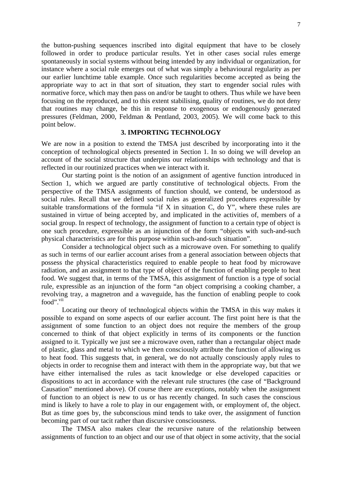the button-pushing sequences inscribed into digital equipment that have to be closely followed in order to produce particular results. Yet in other cases social rules emerge spontaneously in social systems without being intended by any individual or organization, for instance where a social rule emerges out of what was simply a behavioural regularity as per our earlier lunchtime table example. Once such regularities become accepted as being the appropriate way to act in that sort of situation, they start to engender social rules with normative force, which may then pass on and/or be taught to others. Thus while we have been focusing on the reproduced, and to this extent stabilising, quality of routines, we do not deny that routines may change, be this in response to exogenous or endogenously generated pressures (Feldman, 2000, Feldman & Pentland, 2003, 2005). We will come back to this point below.

### **3. IMPORTING TECHNOLOGY**

We are now in a position to extend the TMSA just described by incorporating into it the conception of technological objects presented in Section 1. In so doing we will develop an account of the social structure that underpins our relationships with technology and that is reflected in our routinized practices when we interact with it.

 Our starting point is the notion of an assignment of agentive function introduced in Section 1, which we argued are partly constitutive of technological objects. From the perspective of the TMSA assignments of function should, we contend, be understood as social rules. Recall that we defined social rules as generalized procedures expressible by suitable transformations of the formula "if X in situation C, do Y", where these rules are sustained in virtue of being accepted by, and implicated in the activities of, members of a social group. In respect of technology, the assignment of function to a certain type of object is one such procedure, expressible as an injunction of the form "objects with such-and-such physical characteristics are for this purpose within such-and-such situation".

Consider a technological object such as a microwave oven. For something to qualify as such in terms of our earlier account arises from a general association between objects that possess the physical characteristics required to enable people to heat food by microwave radiation, and an assignment to that type of object of the function of enabling people to heat food. We suggest that, in terms of the TMSA, this assignment of function is a type of social rule, expressible as an injunction of the form "an object comprising a cooking chamber, a revolving tray, a magnetron and a waveguide, has the function of enabling people to cook food".<sup>vii</sup>

Locating our theory of technological objects within the TMSA in this way makes it possible to expand on some aspects of our earlier account. The first point here is that the assignment of some function to an object does not require the members of the group concerned to think of that object explicitly in terms of its components or the function assigned to it. Typically we just see a microwave oven, rather than a rectangular object made of plastic, glass and metal to which we then consciously attribute the function of allowing us to heat food. This suggests that, in general, we do not actually consciously apply rules to objects in order to recognise them and interact with them in the appropriate way, but that we have either internalised the rules as tacit knowledge or else developed capacities or dispositions to act in accordance with the relevant rule structures (the case of "Background Causation" mentioned above). Of course there are exceptions, notably when the assignment of function to an object is new to us or has recently changed. In such cases the conscious mind is likely to have a role to play in our engagement with, or employment of, the object. But as time goes by, the subconscious mind tends to take over, the assignment of function becoming part of our tacit rather than discursive consciousness.

The TMSA also makes clear the recursive nature of the relationship between assignments of function to an object and our use of that object in some activity, that the social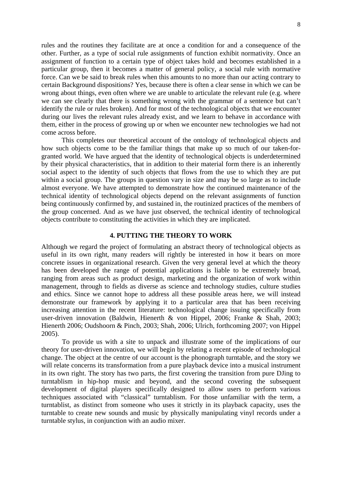rules and the routines they facilitate are at once a condition for and a consequence of the other. Further, as a type of social rule assignments of function exhibit normativity. Once an assignment of function to a certain type of object takes hold and becomes established in a particular group, then it becomes a matter of general policy, a social rule with normative force. Can we be said to break rules when this amounts to no more than our acting contrary to certain Background dispositions? Yes, because there is often a clear sense in which we can be wrong about things, even often where we are unable to articulate the relevant rule (e.g. where we can see clearly that there is something wrong with the grammar of a sentence but can't identify the rule or rules broken). And for most of the technological objects that we encounter during our lives the relevant rules already exist, and we learn to behave in accordance with them, either in the process of growing up or when we encounter new technologies we had not come across before.

This completes our theoretical account of the ontology of technological objects and how such objects come to be the familiar things that make up so much of our taken-forgranted world. We have argued that the identity of technological objects is underdetermined by their physical characteristics, that in addition to their material form there is an inherently social aspect to the identity of such objects that flows from the use to which they are put within a social group. The groups in question vary in size and may be so large as to include almost everyone. We have attempted to demonstrate how the continued maintenance of the technical identity of technological objects depend on the relevant assignments of function being continuously confirmed by, and sustained in, the routinized practices of the members of the group concerned. And as we have just observed, the technical identity of technological objects contribute to constituting the activities in which they are implicated.

### **4. PUTTING THE THEORY TO WORK**

Although we regard the project of formulating an abstract theory of technological objects as useful in its own right, many readers will rightly be interested in how it bears on more concrete issues in organizational research. Given the very general level at which the theory has been developed the range of potential applications is liable to be extremely broad, ranging from areas such as product design, marketing and the organization of work within management, through to fields as diverse as science and technology studies, culture studies and ethics. Since we cannot hope to address all these possible areas here, we will instead demonstrate our framework by applying it to a particular area that has been receiving increasing attention in the recent literature: technological change issuing specifically from user-driven innovation (Baldwin, Hienerth & von Hippel, 2006; Franke & Shah, 2003; Hienerth 2006; Oudshoorn & Pinch, 2003; Shah, 2006; Ulrich, forthcoming 2007; von Hippel 2005).

 To provide us with a site to unpack and illustrate some of the implications of our theory for user-driven innovation, we will begin by relating a recent episode of technological change. The object at the centre of our account is the phonograph turntable, and the story we will relate concerns its transformation from a pure playback device into a musical instrument in its own right. The story has two parts, the first covering the transition from pure DJing to turntablism in hip-hop music and beyond, and the second covering the subsequent development of digital players specifically designed to allow users to perform various techniques associated with "classical" turntablism. For those unfamiliar with the term, a turntablist, as distinct from someone who uses it strictly in its playback capacity, uses the turntable to create new sounds and music by physically manipulating vinyl records under a turntable stylus, in conjunction with an audio mixer.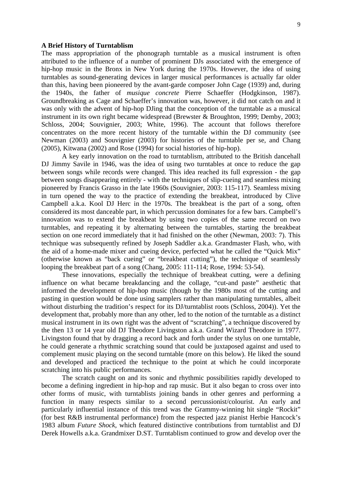#### **A Brief History of Turntablism**

The mass appropriation of the phonograph turntable as a musical instrument is often attributed to the influence of a number of prominent DJs associated with the emergence of hip-hop music in the Bronx in New York during the 1970s. However, the idea of using turntables as sound-generating devices in larger musical performances is actually far older than this, having been pioneered by the avant-garde composer John Cage (1939) and, during the 1940s, the father of *musique concrete* Pierre Schaeffer (Hodgkinson, 1987). Groundbreaking as Cage and Schaeffer's innovation was, however, it did not catch on and it was only with the advent of hip-hop DJing that the conception of the turntable as a musical instrument in its own right became widespread (Brewster & Broughton, 1999; Demby, 2003; Schloss, 2004; Souvignier, 2003; White, 1996). The account that follows therefore concentrates on the more recent history of the turntable within the DJ community (see Newman (2003) and Souvignier (2003) for histories of the turntable per se, and Chang (2005), Kitwana (2002) and Rose (1994) for social histories of hip-hop).

A key early innovation on the road to turntablism, attributed to the British dancehall DJ Jimmy Savile in 1946, was the idea of using two turntables at once to reduce the gap between songs while records were changed. This idea reached its full expression - the gap between songs disappearing entirely - with the techniques of slip-cueing and seamless mixing pioneered by Francis Grasso in the late 1960s (Souvignier, 2003: 115-117). Seamless mixing in turn opened the way to the practice of extending the breakbeat, introduced by Clive Campbell a.k.a. Kool DJ Herc in the 1970s. The breakbeat is the part of a song, often considered its most danceable part, in which percussion dominates for a few bars. Campbell's innovation was to extend the breakbeat by using two copies of the same record on two turntables, and repeating it by alternating between the turntables, starting the breakbeat section on one record immediately that it had finished on the other (Newman, 2003: 7). This technique was subsequently refined by Joseph Saddler a.k.a. Grandmaster Flash, who, with the aid of a home-made mixer and cueing device, perfected what he called the "Quick Mix" (otherwise known as "back cueing" or "breakbeat cutting"), the technique of seamlessly looping the breakbeat part of a song (Chang, 2005: 111-114; Rose, 1994: 53-54).

 These innovations, especially the technique of breakbeat cutting, were a defining influence on what became breakdancing and the collage, "cut-and paste" aesthetic that informed the development of hip-hop music (though by the 1980s most of the cutting and pasting in question would be done using samplers rather than manipulating turntables, albeit without disturbing the tradition's respect for its DJ/turntablist roots (Schloss, 2004)). Yet the development that, probably more than any other, led to the notion of the turntable as a distinct musical instrument in its own right was the advent of "scratching", a technique discovered by the then 13 or 14 year old DJ Theodore Livingston a.k.a. Grand Wizard Theodore in 1977. Livingston found that by dragging a record back and forth under the stylus on one turntable, he could generate a rhythmic scratching sound that could be juxtaposed against and used to complement music playing on the second turntable (more on this below). He liked the sound and developed and practiced the technique to the point at which he could incorporate scratching into his public performances.

 The scratch caught on and its sonic and rhythmic possibilities rapidly developed to become a defining ingredient in hip-hop and rap music. But it also began to cross over into other forms of music, with turntablists joining bands in other genres and performing a function in many respects similar to a second percussionist/colourist. An early and particularly influential instance of this trend was the Grammy-winning hit single "Rockit" (for best R&B instrumental performance) from the respected jazz pianist Herbie Hancock's 1983 album *Future Shock*, which featured distinctive contributions from turntablist and DJ Derek Howells a.k.a. Grandmixer D.ST. Turntablism continued to grow and develop over the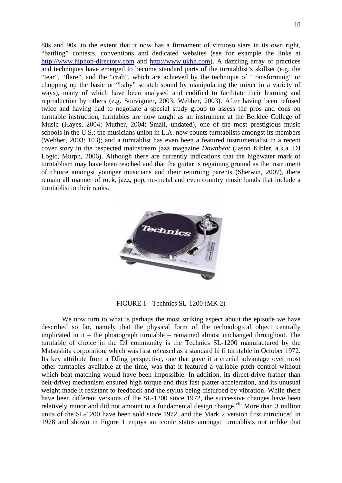80s and 90s, to the extent that it now has a firmament of virtuoso stars in its own right, "battling" contests, conventions and dedicated websites (see for example the links at http://www.hiphop-directory.com and http://www.ukhh.com). A dazzling array of practices and techniques have emerged to become standard parts of the turntablist's skillset (e.g. the "tear", "flare", and the "crab", which are achieved by the technique of "transforming" or chopping up the basic or "baby" scratch sound by manipulating the mixer in a variety of ways), many of which have been analysed and codified to facilitate their learning and reproduction by others (e.g. Souvignier, 2003; Webber, 2003). After having been refused twice and having had to negotiate a special study group to assess the pros and cons on turntable instruction, turntables are now taught as an instrument at the Berklee College of Music (Hayes, 2004; Muther, 2004; Small, undated), one of the most prestigious music schools in the U.S.; the musicians union in L.A. now counts turntablists amongst its members (Webber, 2003: 103); and a turntablist has even been a featured instrumentalist in a recent cover story in the respected mainstream jazz magazine *Downbeat* (Jason Kibler, a.k.a. DJ Logic, Murph, 2006). Although there are currently indications that the highwater mark of turntablism may have been reached and that the guitar is regaining ground as the instrument of choice amongst younger musicians and their returning parents (Sherwin, 2007), there remain all manner of rock, jazz, pop, nu-metal and even country music bands that include a turntablist in their ranks.



FIGURE 1 - Technics SL-1200 (MK 2)

We now turn to what is perhaps the most striking aspect about the episode we have described so far, namely that the physical form of the technological object centrally implicated in it – the phonograph turntable – remained almost unchanged throughout. The turntable of choice in the DJ community is the Technics SL-1200 manufactured by the Matsushita corporation, which was first released as a standard hi fi turntable in October 1972. Its key attribute from a DJing perspective, one that gave it a crucial advantage over most other turntables available at the time, was that it featured a variable pitch control without which beat matching would have been impossible. In addition, its direct-drive (rather than belt-drive) mechanism ensured high torque and thus fast platter acceleration, and its unusual weight made it resistant to feedback and the stylus being disturbed by vibration. While there have been different versions of the SL-1200 since 1972, the successive changes have been relatively minor and did not amount to a fundamental design change.<sup>viii</sup> More than 3 million units of the SL-1200 have been sold since 1972, and the Mark 2 version first introduced in 1978 and shown in Figure 1 enjoys an iconic status amongst turntablists not unlike that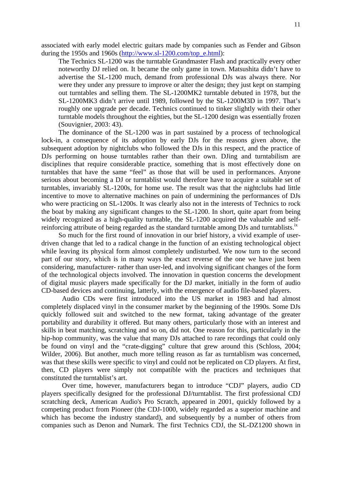associated with early model electric guitars made by companies such as Fender and Gibson during the 1950s and 1960s (http://www.sl-1200.com/top\_e.html):

The Technics SL-1200 was the turntable Grandmaster Flash and practically every other noteworthy DJ relied on. It became the only game in town. Matsushita didn't have to advertise the SL-1200 much, demand from professional DJs was always there. Nor were they under any pressure to improve or alter the design; they just kept on stamping out turntables and selling them. The SL-1200MK2 turntable debuted in 1978, but the SL-1200MK3 didn't arrive until 1989, followed by the SL-1200M3D in 1997. That's roughly one upgrade per decade. Technics continued to tinker slightly with their other turntable models throughout the eighties, but the SL-1200 design was essentially frozen (Souvignier, 2003: 43).

The dominance of the SL-1200 was in part sustained by a process of technological lock-in, a consequence of its adoption by early DJs for the reasons given above, the subsequent adoption by nightclubs who followed the DJs in this respect, and the practice of DJs performing on house turntables rather than their own. DJing and turntabilism are disciplines that require considerable practice, something that is most effectively done on turntables that have the same "feel" as those that will be used in performances. Anyone serious about becoming a DJ or turntablist would therefore have to acquire a suitable set of turntables, invariably SL-1200s, for home use. The result was that the nightclubs had little incentive to move to alternative machines on pain of undermining the performances of DJs who were practicing on SL-1200s. It was clearly also not in the interests of Technics to rock the boat by making any significant changes to the SL-1200. In short, quite apart from being widely recognized as a high-quality turntable, the SL-1200 acquired the valuable and selfreinforcing attribute of being regarded as the standard turntable among DJs and turntablists.<sup>1x</sup>

So much for the first round of innovation in our brief history, a vivid example of userdriven change that led to a radical change in the function of an existing technological object while leaving its physical form almost completely undisturbed. We now turn to the second part of our story, which is in many ways the exact reverse of the one we have just been considering, manufacturer- rather than user-led, and involving significant changes of the form of the technological objects involved. The innovation in question concerns the development of digital music players made specifically for the DJ market, initially in the form of audio CD-based devices and continuing, latterly, with the emergence of audio file-based players.

Audio CDs were first introduced into the US market in 1983 and had almost completely displaced vinyl in the consumer market by the beginning of the 1990s. Some DJs quickly followed suit and switched to the new format, taking advantage of the greater portability and durability it offered. But many others, particularly those with an interest and skills in beat matching, scratching and so on, did not. One reason for this, particularly in the hip-hop community, was the value that many DJs attached to rare recordings that could only be found on vinyl and the "crate-digging" culture that grew around this (Schloss, 2004; Wilder, 2006). But another, much more telling reason as far as turntablism was concerned, was that these skills were specific to vinyl and could not be replicated on CD players. At first, then, CD players were simply not compatible with the practices and techniques that constituted the turntablist's art.

Over time, however, manufacturers began to introduce "CDJ" players, audio CD players specifically designed for the professional DJ/turntablist. The first professional CDJ scratching deck, American Audio's Pro Scratch, appeared in 2001, quickly followed by a competing product from Pioneer (the CDJ-1000, widely regarded as a superior machine and which has become the industry standard), and subsequently by a number of others from companies such as Denon and Numark. The first Technics CDJ, the SL-DZ1200 shown in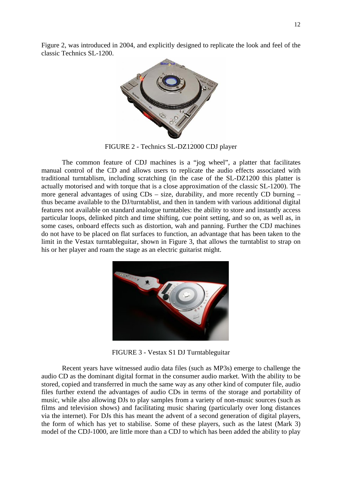Figure 2, was introduced in 2004, and explicitly designed to replicate the look and feel of the classic Technics SL-1200.



FIGURE 2 - Technics SL-DZ12000 CDJ player

The common feature of CDJ machines is a "jog wheel", a platter that facilitates manual control of the CD and allows users to replicate the audio effects associated with traditional turntablism, including scratching (in the case of the SL-DZ1200 this platter is actually motorised and with torque that is a close approximation of the classic SL-1200). The more general advantages of using CDs – size, durability, and more recently CD burning – thus became available to the DJ/turntablist, and then in tandem with various additional digital features not available on standard analogue turntables: the ability to store and instantly access particular loops, delinked pitch and time shifting, cue point setting, and so on, as well as, in some cases, onboard effects such as distortion, wah and panning. Further the CDJ machines do not have to be placed on flat surfaces to function, an advantage that has been taken to the limit in the Vestax turntableguitar, shown in Figure 3, that allows the turntablist to strap on his or her player and roam the stage as an electric guitarist might.



FIGURE 3 - Vestax S1 DJ Turntableguitar

Recent years have witnessed audio data files (such as MP3s) emerge to challenge the audio CD as the dominant digital format in the consumer audio market. With the ability to be stored, copied and transferred in much the same way as any other kind of computer file, audio files further extend the advantages of audio CDs in terms of the storage and portability of music, while also allowing DJs to play samples from a variety of non-music sources (such as films and television shows) and facilitating music sharing (particularly over long distances via the internet). For DJs this has meant the advent of a second generation of digital players, the form of which has yet to stabilise. Some of these players, such as the latest (Mark 3) model of the CDJ-1000, are little more than a CDJ to which has been added the ability to play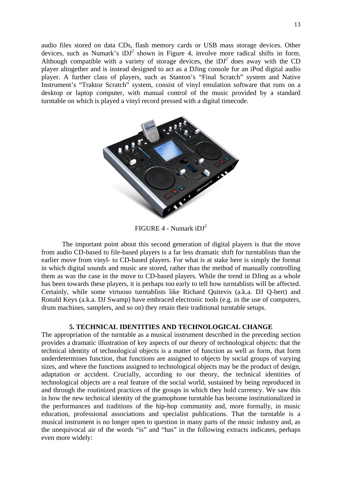audio files stored on data CDs, flash memory cards or USB mass storage devices. Other devices, such as Numark's  $iDJ^2$  shown in Figure 4, involve more radical shifts in form. Although compatible with a variety of storage devices, the  $iDI<sup>2</sup>$  does away with the CD player altogether and is instead designed to act as a DJing console for an iPod digital audio player. A further class of players, such as Stanton's "Final Scratch" system and Native Instrument's "Traktor Scratch" system, consist of vinyl emulation software that runs on a desktop or laptop computer, with manual control of the music provided by a standard turntable on which is played a vinyl record pressed with a digital timecode.



FIGURE 4 - Numark  $iDJ^2$ 

The important point about this second generation of digital players is that the move from audio CD-based to file-based players is a far less dramatic shift for turntablists than the earlier move from vinyl- to CD-based players. For what is at stake here is simply the format in which digital sounds and music are stored, rather than the method of manually controlling them as was the case in the move to CD-based players. While the trend in DJing as a whole has been towards these players, it is perhaps too early to tell how turntablists will be affected. Certainly, while some virtuoso turntablists like Richard Quitevis (a.k.a. DJ Q-bert) and Ronald Keys (a.k.a. DJ Swamp) have embraced electronic tools (e.g. in the use of computers, drum machines, samplers, and so on) they retain their traditional turntable setups.

### **5. TECHNICAL IDENTITIES AND TECHNOLOGICAL CHANGE**

The appropriation of the turntable as a musical instrument described in the preceding section provides a dramatic illustration of key aspects of our theory of technological objects: that the technical identity of technological objects is a matter of function as well as form, that form underdetermines function, that functions are assigned to objects by social groups of varying sizes, and where the functions assigned to technological objects may be the product of design, adaptation or accident. Crucially, according to our theory, the technical identities of technological objects are a real feature of the social world, sustained by being reproduced in and through the routinized practices of the groups in which they hold currency. We saw this in how the new technical identity of the gramophone turntable has become institutionalized in the performances and traditions of the hip-hop community and, more formally, in music education, professional associations and specialist publications. That the turntable is a musical instrument is no longer open to question in many parts of the music industry and, as the unequivocal air of the words "is" and "has" in the following extracts indicates, perhaps even more widely: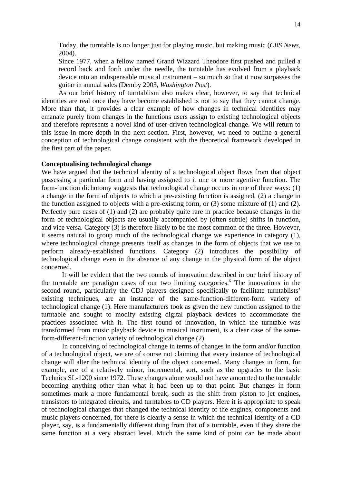Today, the turntable is no longer just for playing music, but making music (*CBS News*, 2004).

Since 1977, when a fellow named Grand Wizzard Theodore first pushed and pulled a record back and forth under the needle, the turntable has evolved from a playback device into an indispensable musical instrument – so much so that it now surpasses the guitar in annual sales (Demby 2003, *Washington Post*).

As our brief history of turntablism also makes clear, however, to say that technical identities are real once they have become established is not to say that they cannot change. More than that, it provides a clear example of how changes in technical identities may emanate purely from changes in the functions users assign to existing technological objects and therefore represents a novel kind of user-driven technological change. We will return to this issue in more depth in the next section. First, however, we need to outline a general conception of technological change consistent with the theoretical framework developed in the first part of the paper.

#### **Conceptualising technological change**

We have argued that the technical identity of a technological object flows from that object possessing a particular form and having assigned to it one or more agentive function. The form-function dichotomy suggests that technological change occurs in one of three ways: (1) a change in the form of objects to which a pre-existing function is assigned, (2) a change in the function assigned to objects with a pre-existing form, or (3) some mixture of (1) and (2). Perfectly pure cases of (1) and (2) are probably quite rare in practice because changes in the form of technological objects are usually accompanied by (often subtle) shifts in function, and vice versa. Category (3) is therefore likely to be the most common of the three. However, it seems natural to group much of the technological change we experience in category (1), where technological change presents itself as changes in the form of objects that we use to perform already-established functions. Category (2) introduces the possibility of technological change even in the absence of any change in the physical form of the object concerned.

It will be evident that the two rounds of innovation described in our brief history of the turntable are paradigm cases of our two limiting categories.<sup> $x$ </sup> The innovations in the second round, particularly the CDJ players designed specifically to facilitate turntablists' existing techniques, are an instance of the same-function-different-form variety of technological change (1). Here manufacturers took as given the new function assigned to the turntable and sought to modify existing digital playback devices to accommodate the practices associated with it. The first round of innovation, in which the turntable was transformed from music playback device to musical instrument, is a clear case of the sameform-different-function variety of technological change (2).

In conceiving of technological change in terms of changes in the form and/or function of a technological object, we are of course not claiming that every instance of technological change will alter the technical identity of the object concerned. Many changes in form, for example, are of a relatively minor, incremental, sort, such as the upgrades to the basic Technics SL-1200 since 1972. These changes alone would not have amounted to the turntable becoming anything other than what it had been up to that point. But changes in form sometimes mark a more fundamental break, such as the shift from piston to jet engines, transistors to integrated circuits, and turntables to CD players. Here it is appropriate to speak of technological changes that changed the technical identity of the engines, components and music players concerned, for there is clearly a sense in which the technical identity of a CD player, say, is a fundamentally different thing from that of a turntable, even if they share the same function at a very abstract level. Much the same kind of point can be made about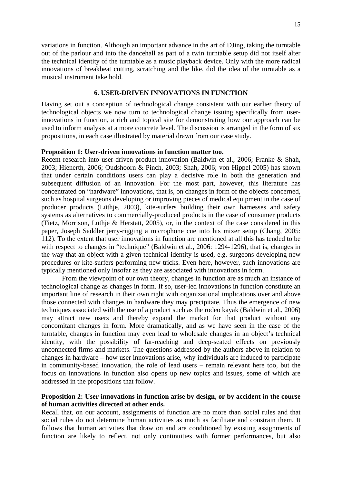variations in function. Although an important advance in the art of DJing, taking the turntable out of the parlour and into the dancehall as part of a twin turntable setup did not itself alter the technical identity of the turntable as a music playback device. Only with the more radical innovations of breakbeat cutting, scratching and the like, did the idea of the turntable as a musical instrument take hold.

### **6. USER-DRIVEN INNOVATIONS IN FUNCTION**

Having set out a conception of technological change consistent with our earlier theory of technological objects we now turn to technological change issuing specifically from userinnovations in function, a rich and topical site for demonstrating how our approach can be used to inform analysis at a more concrete level. The discussion is arranged in the form of six propositions, in each case illustrated by material drawn from our case study.

### **Proposition 1: User-driven innovations in function matter too.**

Recent research into user-driven product innovation (Baldwin et al., 2006; Franke & Shah, 2003; Hienerth, 2006; Oudshoorn & Pinch, 2003; Shah, 2006; von Hippel 2005) has shown that under certain conditions users can play a decisive role in both the generation and subsequent diffusion of an innovation. For the most part, however, this literature has concentrated on "hardware" innovations, that is, on changes in form of the objects concerned, such as hospital surgeons developing or improving pieces of medical equipment in the case of producer products (Lüthje, 2003), kite-surfers building their own harnesses and safety systems as alternatives to commercially-produced products in the case of consumer products (Tietz, Morrison, Lüthje & Herstatt, 2005), or, in the context of the case considered in this paper, Joseph Saddler jerry-rigging a microphone cue into his mixer setup (Chang, 2005: 112). To the extent that user innovations in function are mentioned at all this has tended to be with respect to changes in "technique" (Baldwin et al., 2006: 1294-1296), that is, changes in the way that an object with a given technical identity is used, e.g. surgeons developing new procedures or kite-surfers performing new tricks. Even here, however, such innovations are typically mentioned only insofar as they are associated with innovations in form.

From the viewpoint of our own theory, changes in function are as much an instance of technological change as changes in form. If so, user-led innovations in function constitute an important line of research in their own right with organizational implications over and above those connected with changes in hardware they may precipitate. Thus the emergence of new techniques associated with the use of a product such as the rodeo kayak (Baldwin et al., 2006) may attract new users and thereby expand the market for that product without any concomitant changes in form. More dramatically, and as we have seen in the case of the turntable, changes in function may even lead to wholesale changes in an object's technical identity, with the possibility of far-reaching and deep-seated effects on previously unconnected firms and markets. The questions addressed by the authors above in relation to changes in hardware – how user innovations arise, why individuals are induced to participate in community-based innovation, the role of lead users – remain relevant here too, but the focus on innovations in function also opens up new topics and issues, some of which are addressed in the propositions that follow.

## **Proposition 2: User innovations in function arise by design, or by accident in the course of human activities directed at other ends.**

Recall that, on our account, assignments of function are no more than social rules and that social rules do not determine human activities as much as facilitate and constrain them. It follows that human activities that draw on and are conditioned by existing assignments of function are likely to reflect, not only continuities with former performances, but also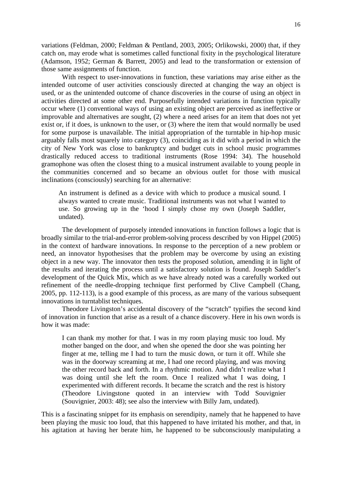variations (Feldman, 2000; Feldman & Pentland, 2003, 2005; Orlikowski, 2000) that, if they catch on, may erode what is sometimes called functional fixity in the psychological literature (Adamson, 1952; German & Barrett, 2005) and lead to the transformation or extension of those same assignments of function.

 With respect to user-innovations in function, these variations may arise either as the intended outcome of user activities consciously directed at changing the way an object is used, or as the unintended outcome of chance discoveries in the course of using an object in activities directed at some other end. Purposefully intended variations in function typically occur where (1) conventional ways of using an existing object are perceived as ineffective or improvable and alternatives are sought, (2) where a need arises for an item that does not yet exist or, if it does, is unknown to the user, or (3) where the item that would normally be used for some purpose is unavailable. The initial appropriation of the turntable in hip-hop music arguably falls most squarely into category (3), coinciding as it did with a period in which the city of New York was close to bankruptcy and budget cuts in school music programmes drastically reduced access to traditional instruments (Rose 1994: 34). The household gramophone was often the closest thing to a musical instrument available to young people in the communities concerned and so became an obvious outlet for those with musical inclinations (consciously) searching for an alternative:

An instrument is defined as a device with which to produce a musical sound. I always wanted to create music. Traditional instruments was not what I wanted to use. So growing up in the 'hood I simply chose my own (Joseph Saddler, undated).

 The development of purposely intended innovations in function follows a logic that is broadly similar to the trial-and-error problem-solving process described by von Hippel (2005) in the context of hardware innovations. In response to the perception of a new problem or need, an innovator hypothesises that the problem may be overcome by using an existing object in a new way. The innovator then tests the proposed solution, amending it in light of the results and iterating the process until a satisfactory solution is found. Joseph Saddler's development of the Quick Mix, which as we have already noted was a carefully worked out refinement of the needle-dropping technique first performed by Clive Campbell (Chang, 2005, pp. 112-113), is a good example of this process, as are many of the various subsequent innovations in turntablist techniques.

Theodore Livingston's accidental discovery of the "scratch" typifies the second kind of innovation in function that arise as a result of a chance discovery. Here in his own words is how it was made:

I can thank my mother for that. I was in my room playing music too loud. My mother banged on the door, and when she opened the door she was pointing her finger at me, telling me I had to turn the music down, or turn it off. While she was in the doorway screaming at me, I had one record playing, and was moving the other record back and forth. In a rhythmic motion. And didn't realize what I was doing until she left the room. Once I realized what I was doing, I experimented with different records. It became the scratch and the rest is history (Theodore Livingstone quoted in an interview with Todd Souvignier (Souvignier, 2003: 48); see also the interview with Billy Jam, undated).

This is a fascinating snippet for its emphasis on serendipity, namely that he happened to have been playing the music too loud, that this happened to have irritated his mother, and that, in his agitation at having her berate him, he happened to be subconsciously manipulating a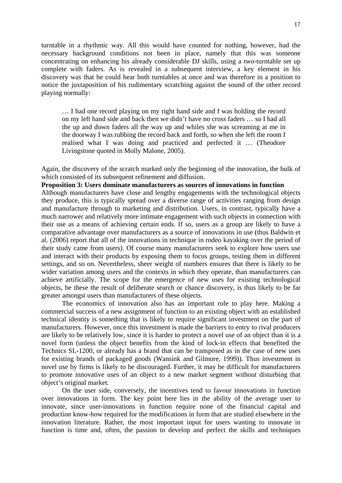turntable in a rhythmic way. All this would have counted for nothing, however, had the necessary background conditions not been in place, namely that this was someone concentrating on enhancing his already considerable DJ skills, using a two-turntable set up complete with faders. As is revealed in a subsequent interview, a key element in his discovery was that he could hear both turntables at once and was therefore in a position to notice the juxtaposition of his rudimentary scratching against the sound of the other record playing normally:

… I had one record playing on my right hand side and I was holding the record on my left hand side and back then we didn't have no cross faders … so I had all the up and down faders all the way up and whiles she was screaming at me in the doorway I was rubbing the record back and forth, so when she left the room I realised what I was doing and practiced and perfected it … (Theodore Livingstone quoted in Molly Malone, 2005).

Again, the discovery of the scratch marked only the beginning of the innovation, the bulk of which consisted of its subsequent refinement and diffusion.

**Proposition 3: Users dominate manufacturers as sources of innovations in function**  Although manufacturers have close and lengthy engagements with the technological objects they produce, this is typically spread over a diverse range of activities ranging from design and manufacture through to marketing and distribution. Users, in contrast, typically have a much narrower and relatively more intimate engagement with such objects in connection with their use as a means of achieving certain ends. If so, users as a group are likely to have a comparative advantage over manufacturers as a source of innovations in use (thus Baldwin et al. (2006) report that all of the innovations in technique in rodeo kayaking over the period of their study came from users). Of course many manufacturers seek to explore how users use and interact with their products by exposing them to focus groups, testing them in different settings, and so on. Nevertheless, sheer weight of numbers ensures that there is likely to be wider variation among users and the contexts in which they operate, than manufacturers can achieve artificially. The scope for the emergence of new uses for existing technological objects, be these the result of deliberate search or chance discovery, is thus likely to be far greater amongst users than manufacturers of these objects.

The economics of innovation also has an important role to play here. Making a commercial success of a new assignment of function to an existing object with an established technical identity is something that is likely to require significant investment on the part of manufacturers. However, once this investment is made the barriers to entry to rival producers are likely to be relatively low, since it is harder to protect a novel use of an object than it is a novel form (unless the object benefits from the kind of lock-in effects that benefited the Technics SL-1200, or already has a brand that can be transposed as in the case of new uses for existing brands of packaged goods (Wansink and Gilmore, 1999)). Thus investment in novel use by firms is likely to be discouraged. Further, it may be difficult for manufacturers to promote innovative uses of an object to a new market segment without disturbing that object's original market.

On the user side, conversely, the incentives tend to favour innovations in function over innovations in form. The key point here lies in the ability of the average user to innovate, since user-innovations in function require none of the financial capital and production know-how required for the modifications in form that are studied elsewhere in the innovation literature. Rather, the most important input for users wanting to innovate in function is time and, often, the passion to develop and perfect the skills and techniques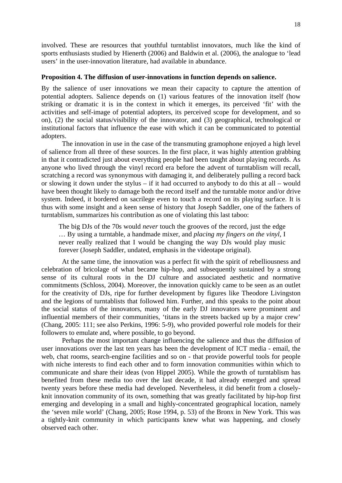involved. These are resources that youthful turntablist innovators, much like the kind of sports enthusiasts studied by Hienerth (2006) and Baldwin et al. (2006), the analogue to 'lead users' in the user-innovation literature, had available in abundance.

#### **Proposition 4. The diffusion of user-innovations in function depends on salience.**

By the salience of user innovations we mean their capacity to capture the attention of potential adopters. Salience depends on (1) various features of the innovation itself (how striking or dramatic it is in the context in which it emerges, its perceived 'fit' with the activities and self-image of potential adopters, its perceived scope for development, and so on), (2) the social status/visibility of the innovator, and (3) geographical, technological or institutional factors that influence the ease with which it can be communicated to potential adopters.

 The innovation in use in the case of the transmuting gramophone enjoyed a high level of salience from all three of these sources. In the first place, it was highly attention grabbing in that it contradicted just about everything people had been taught about playing records. As anyone who lived through the vinyl record era before the advent of turntablism will recall, scratching a record was synonymous with damaging it, and deliberately pulling a record back or slowing it down under the stylus – if it had occurred to anybody to do this at all – would have been thought likely to damage both the record itself and the turntable motor and/or drive system. Indeed, it bordered on sacrilege even to touch a record on its playing surface. It is thus with some insight and a keen sense of history that Joseph Saddler, one of the fathers of turntablism, summarizes his contribution as one of violating this last taboo:

The big DJs of the 70s would *never* touch the grooves of the record, just the edge … By using a turntable, a handmade mixer, and *placing my fingers on the vinyl*, I never really realized that I would be changing the way DJs would play music forever (Joseph Saddler, undated, emphasis in the videotape original).

 At the same time, the innovation was a perfect fit with the spirit of rebelliousness and celebration of bricolage of what became hip-hop, and subsequently sustained by a strong sense of its cultural roots in the DJ culture and associated aesthetic and normative commitments (Schloss, 2004). Moreover, the innovation quickly came to be seen as an outlet for the creativity of DJs, ripe for further development by figures like Theodore Livingston and the legions of turntablists that followed him. Further, and this speaks to the point about the social status of the innovators, many of the early DJ innovators were prominent and influential members of their communities, 'titans in the streets backed up by a major crew' (Chang, 2005: 111; see also Perkins, 1996: 5-9), who provided powerful role models for their followers to emulate and, where possible, to go beyond.

 Perhaps the most important change influencing the salience and thus the diffusion of user innovations over the last ten years has been the development of ICT media - email, the web, chat rooms, search-engine facilities and so on - that provide powerful tools for people with niche interests to find each other and to form innovation communities within which to communicate and share their ideas (von Hippel 2005). While the growth of turntablism has benefited from these media too over the last decade, it had already emerged and spread twenty years before these media had developed. Nevertheless, it did benefit from a closelyknit innovation community of its own, something that was greatly facilitated by hip-hop first emerging and developing in a small and highly-concentrated geographical location, namely the 'seven mile world' (Chang, 2005; Rose 1994, p. 53) of the Bronx in New York. This was a tightly-knit community in which participants knew what was happening, and closely observed each other.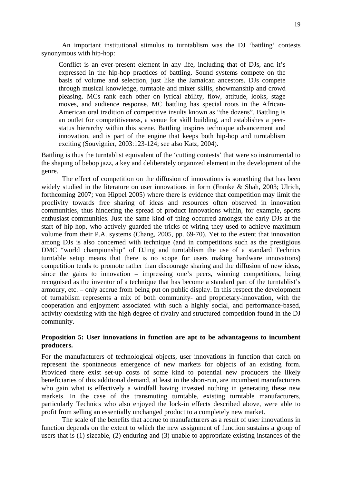An important institutional stimulus to turntablism was the DJ 'battling' contests synonymous with hip-hop:

Conflict is an ever-present element in any life, including that of DJs, and it's expressed in the hip-hop practices of battling. Sound systems compete on the basis of volume and selection, just like the Jamaican ancestors. DJs compete through musical knowledge, turntable and mixer skills, showmanship and crowd pleasing. MCs rank each other on lyrical ability, flow, attitude, looks, stage moves, and audience response. MC battling has special roots in the African-American oral tradition of competitive insults known as "the dozens". Battling is an outlet for competitiveness, a venue for skill building, and establishes a peerstatus hierarchy within this scene. Battling inspires technique advancement and innovation, and is part of the engine that keeps both hip-hop and turntablism exciting (Souvignier, 2003:123-124; see also Katz, 2004).

Battling is thus the turntablist equivalent of the 'cutting contests' that were so instrumental to the shaping of bebop jazz, a key and deliberately organized element in the development of the genre.

The effect of competition on the diffusion of innovations is something that has been widely studied in the literature on user innovations in form (Franke & Shah, 2003; Ulrich, forthcoming 2007; von Hippel 2005) where there is evidence that competition may limit the proclivity towards free sharing of ideas and resources often observed in innovation communities, thus hindering the spread of product innovations within, for example, sports enthusiast communities. Just the same kind of thing occurred amongst the early DJs at the start of hip-hop, who actively guarded the tricks of wiring they used to achieve maximum volume from their P.A. systems (Chang, 2005, pp. 69-70). Yet to the extent that innovation among DJs is also concerned with technique (and in competitions such as the prestigious DMC "world championship" of DJing and turntablism the use of a standard Technics turntable setup means that there is no scope for users making hardware innovations) competition tends to promote rather than discourage sharing and the diffusion of new ideas, since the gains to innovation – impressing one's peers, winning competitions, being recognised as the inventor of a technique that has become a standard part of the turntablist's armoury, etc. – only accrue from being put on public display. In this respect the development of turnablism represents a mix of both community- and proprietary-innovation, with the cooperation and enjoyment associated with such a highly social, and performance-based, activity coexisting with the high degree of rivalry and structured competition found in the DJ community.

## **Proposition 5: User innovations in function are apt to be advantageous to incumbent producers.**

For the manufacturers of technological objects, user innovations in function that catch on represent the spontaneous emergence of new markets for objects of an existing form. Provided there exist set-up costs of some kind to potential new producers the likely beneficiaries of this additional demand, at least in the short-run, are incumbent manufacturers who gain what is effectively a windfall having invested nothing in generating these new markets. In the case of the transmuting turntable, existing turntable manufacturers, particularly Technics who also enjoyed the lock-in effects described above, were able to profit from selling an essentially unchanged product to a completely new market.

The scale of the benefits that accrue to manufacturers as a result of user innovations in function depends on the extent to which the new assignment of function sustains a group of users that is (1) sizeable, (2) enduring and (3) unable to appropriate existing instances of the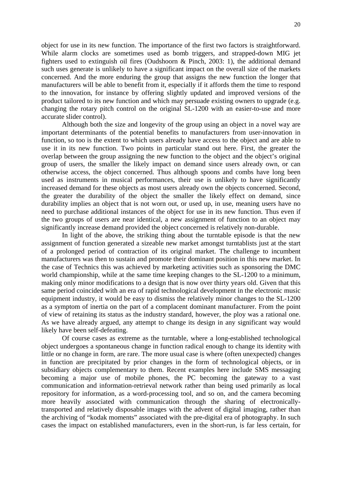object for use in its new function. The importance of the first two factors is straightforward. While alarm clocks are sometimes used as bomb triggers, and strapped-down MIG jet fighters used to extinguish oil fires (Oudshoorn & Pinch, 2003: 1), the additional demand such uses generate is unlikely to have a significant impact on the overall size of the markets concerned. And the more enduring the group that assigns the new function the longer that manufacturers will be able to benefit from it, especially if it affords them the time to respond to the innovation, for instance by offering slightly updated and improved versions of the product tailored to its new function and which may persuade existing owners to upgrade (e.g. changing the rotary pitch control on the original SL-1200 with an easier-to-use and more accurate slider control).

Although both the size and longevity of the group using an object in a novel way are important determinants of the potential benefits to manufacturers from user-innovation in function, so too is the extent to which users already have access to the object and are able to use it in its new function. Two points in particular stand out here. First, the greater the overlap between the group assigning the new function to the object and the object's original group of users, the smaller the likely impact on demand since users already own, or can otherwise access, the object concerned. Thus although spoons and combs have long been used as instruments in musical performances, their use is unlikely to have significantly increased demand for these objects as most users already own the objects concerned. Second, the greater the durability of the object the smaller the likely effect on demand, since durability implies an object that is not worn out, or used up, in use, meaning users have no need to purchase additional instances of the object for use in its new function. Thus even if the two groups of users are near identical, a new assignment of function to an object may significantly increase demand provided the object concerned is relatively non-durable.

In light of the above, the striking thing about the turntable episode is that the new assignment of function generated a sizeable new market amongst turntablists just at the start of a prolonged period of contraction of its original market. The challenge to incumbent manufacturers was then to sustain and promote their dominant position in this new market. In the case of Technics this was achieved by marketing activities such as sponsoring the DMC world championship, while at the same time keeping changes to the SL-1200 to a minimum, making only minor modifications to a design that is now over thirty years old. Given that this same period coincided with an era of rapid technological development in the electronic music equipment industry, it would be easy to dismiss the relatively minor changes to the SL-1200 as a symptom of inertia on the part of a complacent dominant manufacturer. From the point of view of retaining its status as the industry standard, however, the ploy was a rational one. As we have already argued, any attempt to change its design in any significant way would likely have been self-defeating.

Of course cases as extreme as the turntable, where a long-established technological object undergoes a spontaneous change in function radical enough to change its identity with little or no change in form, are rare. The more usual case is where (often unexpected) changes in function are precipitated by prior changes in the form of technological objects, or in subsidiary objects complementary to them. Recent examples here include SMS messaging becoming a major use of mobile phones, the PC becoming the gateway to a vast communication and information-retrieval network rather than being used primarily as local repository for information, as a word-processing tool, and so on, and the camera becoming more heavily associated with communication through the sharing of electronicallytransported and relatively disposable images with the advent of digital imaging, rather than the archiving of "kodak moments" associated with the pre-digital era of photography. In such cases the impact on established manufacturers, even in the short-run, is far less certain, for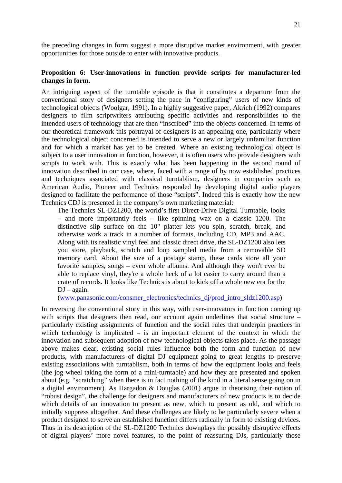the preceding changes in form suggest a more disruptive market environment, with greater opportunities for those outside to enter with innovative products.

# **Proposition 6: User-innovations in function provide scripts for manufacturer-led changes in form.**

An intriguing aspect of the turntable episode is that it constitutes a departure from the conventional story of designers setting the pace in "configuring" users of new kinds of technological objects (Woolgar, 1991). In a highly suggestive paper, Akrich (1992) compares designers to film scriptwriters attributing specific activities and responsibilities to the intended users of technology that are then "inscribed" into the objects concerned. In terms of our theoretical framework this portrayal of designers is an appealing one, particularly where the technological object concerned is intended to serve a new or largely unfamiliar function and for which a market has yet to be created. Where an existing technological object is subject to a user innovation in function, however, it is often users who provide designers with scripts to work with. This is exactly what has been happening in the second round of innovation described in our case, where, faced with a range of by now established practices and techniques associated with classical turntablism, designers in companies such as American Audio, Pioneer and Technics responded by developing digital audio players designed to facilitate the performance of those "scripts". Indeed this is exactly how the new Technics CDJ is presented in the company's own marketing material:

The Technics SL-DZ1200, the world's first Direct-Drive Digital Turntable, looks – and more importantly feels – like spinning wax on a classic 1200. The distinctive slip surface on the 10" platter lets you spin, scratch, break, and otherwise work a track in a number of formats, including CD, MP3 and AAC. Along with its realistic vinyl feel and classic direct drive, the SL-DZ1200 also lets you store, playback, scratch and loop sampled media from a removable SD memory card. About the size of a postage stamp, these cards store all your favorite samples, songs – even whole albums. And although they won't ever be able to replace vinyl, they're a whole heck of a lot easier to carry around than a crate of records. It looks like Technics is about to kick off a whole new era for the  $DJ - again.$ 

(www.panasonic.com/consmer\_electronics/technics\_dj/prod\_intro\_sldz1200.asp)

In reversing the conventional story in this way, with user-innovators in function coming up with scripts that designers then read, our account again underlines that social structure – particularly existing assignments of function and the social rules that underpin practices in which technology is implicated – is an important element of the context in which the innovation and subsequent adoption of new technological objects takes place. As the passage above makes clear, existing social rules influence both the form and function of new products, with manufacturers of digital DJ equipment going to great lengths to preserve existing associations with turntablism, both in terms of how the equipment looks and feels (the jog wheel taking the form of a mini-turntable) and how they are presented and spoken about (e.g. "scratching" when there is in fact nothing of the kind in a literal sense going on in a digital environment). As Hargadon & Douglas (2001) argue in theorising their notion of "robust design", the challenge for designers and manufacturers of new products is to decide which details of an innovation to present as new, which to present as old, and which to initially suppress altogether. And these challenges are likely to be particularly severe when a product designed to serve an established function differs radically in form to existing devices. Thus in its description of the SL-DZ1200 Technics downplays the possibly disruptive effects of digital players' more novel features, to the point of reassuring DJs, particularly those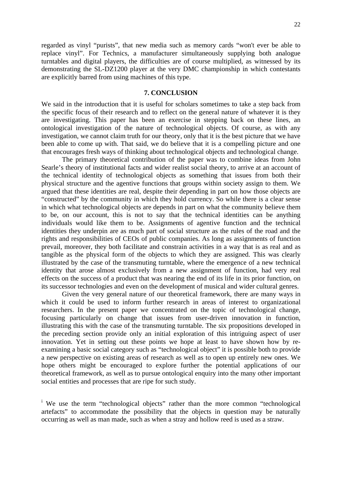regarded as vinyl "purists", that new media such as memory cards "won't ever be able to replace vinyl". For Technics, a manufacturer simultaneously supplying both analogue turntables and digital players, the difficulties are of course multiplied, as witnessed by its demonstrating the SL-DZ1200 player at the very DMC championship in which contestants are explicitly barred from using machines of this type.

#### **7. CONCLUSION**

We said in the introduction that it is useful for scholars sometimes to take a step back from the specific focus of their research and to reflect on the general nature of whatever it is they are investigating. This paper has been an exercise in stepping back on these lines, an ontological investigation of the nature of technological objects. Of course, as with any investigation, we cannot claim truth for our theory, only that it is the best picture that we have been able to come up with. That said, we do believe that it is a compelling picture and one that encourages fresh ways of thinking about technological objects and technological change.

 The primary theoretical contribution of the paper was to combine ideas from John Searle's theory of institutional facts and wider realist social theory, to arrive at an account of the technical identity of technological objects as something that issues from both their physical structure and the agentive functions that groups within society assign to them. We argued that these identities are real, despite their depending in part on how those objects are "constructed" by the community in which they hold currency. So while there is a clear sense in which what technological objects are depends in part on what the community believe them to be, on our account, this is not to say that the technical identities can be anything individuals would like them to be. Assignments of agentive function and the technical identities they underpin are as much part of social structure as the rules of the road and the rights and responsibilities of CEOs of public companies. As long as assignments of function prevail, moreover, they both facilitate and constrain activities in a way that is as real and as tangible as the physical form of the objects to which they are assigned. This was clearly illustrated by the case of the transmuting turntable, where the emergence of a new technical identity that arose almost exclusively from a new assignment of function, had very real effects on the success of a product that was nearing the end of its life in its prior function, on its successor technologies and even on the development of musical and wider cultural genres.

 Given the very general nature of our theoretical framework, there are many ways in which it could be used to inform further research in areas of interest to organizational researchers. In the present paper we concentrated on the topic of technological change, focusing particularly on change that issues from user-driven innovation in function, illustrating this with the case of the transmuting turntable. The six propositions developed in the preceding section provide only an initial exploration of this intriguing aspect of user innovation. Yet in setting out these points we hope at least to have shown how by reexamining a basic social category such as "technological object" it is possible both to provide a new perspective on existing areas of research as well as to open up entirely new ones. We hope others might be encouraged to explore further the potential applications of our theoretical framework, as well as to pursue ontological enquiry into the many other important social entities and processes that are ripe for such study.

<sup>i</sup> We use the term "technological objects" rather than the more common "technological artefacts" to accommodate the possibility that the objects in question may be naturally occurring as well as man made, such as when a stray and hollow reed is used as a straw.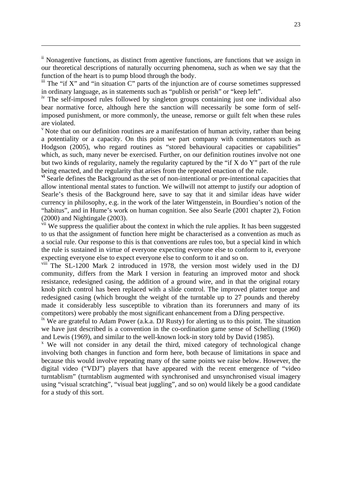ii Nonagentive functions, as distinct from agentive functions, are functions that we assign in our theoretical descriptions of naturally occurring phenomena, such as when we say that the function of the heart is to pump blood through the body.

1

 $\overline{u}$  iii The "if X" and "in situation C" parts of the injunction are of course sometimes suppressed in ordinary language, as in statements such as "publish or perish" or "keep left".

<sup>iv</sup> The self-imposed rules followed by singleton groups containing just one individual also bear normative force, although here the sanction will necessarily be some form of selfimposed punishment, or more commonly, the unease, remorse or guilt felt when these rules are violated.

<sup>v</sup> Note that on our definition routines are a manifestation of human activity, rather than being a potentiality or a capacity. On this point we part company with commentators such as Hodgson (2005), who regard routines as "stored behavioural capacities or capabilities" which, as such, many never be exercised. Further, on our definition routines involve not one but two kinds of regularity, namely the regularity captured by the "if X do Y" part of the rule being enacted, and the regularity that arises from the repeated enaction of the rule.

**vi** Searle defines the Background as the set of non-intentional or pre-intentional capacities that allow intentional mental states to function. We willwill not attempt to justify our adoption of Searle's thesis of the Background here, save to say that it and similar ideas have wider currency in philosophy, e.g. in the work of the later Wittgenstein, in Bourdieu's notion of the "habitus", and in Hume's work on human cognition. See also Searle (2001 chapter 2), Fotion (2000) and Nightingale (2003).

<sup>vii</sup> We suppress the qualifier about the context in which the rule applies. It has been suggested to us that the assignment of function here might be characterised as a convention as much as a social rule. Our response to this is that conventions are rules too, but a special kind in which the rule is sustained in virtue of everyone expecting everyone else to conform to it, everyone expecting everyone else to expect everyone else to conform to it and so on.

viii The SL-1200 Mark 2 introduced in 1978, the version most widely used in the DJ community, differs from the Mark I version in featuring an improved motor and shock resistance, redesigned casing, the addition of a ground wire, and in that the original rotary knob pitch control has been replaced with a slide control. The improved platter torque and redesigned casing (which brought the weight of the turntable up to 27 pounds and thereby made it considerably less susceptible to vibration than its forerunners and many of its competitors) were probably the most significant enhancement from a DJing perspective.

 $i<sup>x</sup>$  We are grateful to Adam Power (a.k.a. DJ Rusty) for alerting us to this point. The situation we have just described is a convention in the co-ordination game sense of Schelling (1960) and Lewis (1969), and similar to the well-known lock-in story told by David (1985).

 $x$  We will not consider in any detail the third, mixed category of technological change involving both changes in function and form here, both because of limitations in space and because this would involve repeating many of the same points we raise below. However, the digital video ("VDJ") players that have appeared with the recent emergence of "video turntablism" (turntablism augmented with synchronised and unsynchronised visual imagery using "visual scratching", "visual beat juggling", and so on) would likely be a good candidate for a study of this sort.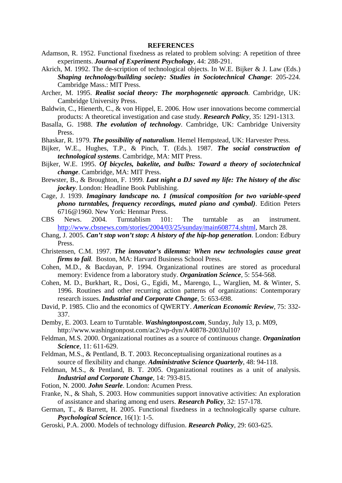#### **REFERENCES**

- Adamson, R. 1952. Functional fixedness as related to problem solving: A repetition of three experiments. *Journal of Experiment Psychology*, 44: 288-291.
- Akrich, M. 1992. The de-scription of technological objects. In W.E. Bijker & J. Law (Eds.) *Shaping technology/building society: Studies in Sociotechnical Change*: 205-224. Cambridge Mass.: MIT Press.
- Archer, M. 1995. *Realist social theory: The morphogenetic approach*. Cambridge, UK: Cambridge University Press.
- Baldwin, C., Hienerth, C., & von Hippel, E. 2006. How user innovations become commercial products: A theoretical investigation and case study. *Research Policy*, 35: 1291-1313.
- Basalla, G. 1988. *The evolution of technology*. Cambridge, UK: Cambridge University Press.
- Bhaskar, R. 1979. *The possibility of naturalism*. Hemel Hempstead, UK: Harvester Press.
- Bijker, W.E., Hughes, T.P., & Pinch, T. (Eds.). 1987. *The social construction of technological systems*. Cambridge, MA: MIT Press.
- Bijker, W.E. 1995. *Of bicycles, bakelite, and bulbs: Toward a theory of sociotechnical change*. Cambridge, MA: MIT Press.
- Brewster, B., & Broughton, F. 1999. *Last night a DJ saved my life: The history of the disc jockey*. London: Headline Book Publishing.
- Cage, J. 1939. *Imaginary landscape no. 1 (musical composition for two variable-speed phono turntables, frequency recordings, muted piano and cymbal)*. Edition Peters 6716@1960. New York: Henmar Press.
- CBS News. 2004. Turntablism 101: The turntable as an instrument. http://www.cbsnews.com/stories/2004/03/25/sunday/main608774.shtml, March 28.
- Chang, J. 2005. *Can't stop won't stop: A history of the hip-hop generation*. London: Edbury Press.
- Christensen, C.M. 1997. *The innovator's dilemma: When new technologies cause great firms to fail.* Boston, MA: Harvard Business School Press.
- Cohen, M.D., & Bacdayan, P. 1994. Organizational routines are stored as procedural memory: Evidence from a laboratory study. *Organization Science,* 5: 554-568.
- Cohen, M. D., Burkhart, R., Dosi, G., Egidi, M., Marengo, L., Warglien, M. & Winter, S. 1996. Routines and other recurring action patterns of organizations: Contemporary research issues. *Industrial and Corporate Change*, 5: 653-698.
- David, P. 1985. Clio and the economics of QWERTY. *American Economic Review*, 75: 332- 337.
- Demby, E. 2003. Learn to Turntable. *Washingtonpost.com*, Sunday, July 13, p. M09, http://www.washingtonpost.com/ac2/wp-dyn/A40878-2003Jul10?
- Feldman, M.S. 2000. Organizational routines as a source of continuous change. *Organization Science*, 11: 611-629.
- Feldman, M.S., & Pentland, B. T. 2003. Reconceptualising organizational routines as a source of flexibility and change. *Administrative Science Quarterly*, 48: 94-118.
- Feldman, M.S., & Pentland, B. T. 2005. Organizational routines as a unit of analysis. *Industrial and Corporate Change*, 14: 793-815.
- Fotion, N. 2000. *John Searle*. London: Acumen Press.
- Franke, N., & Shah, S. 2003. How communities support innovative activities: An exploration of assistance and sharing among end users. *Research Policy*, 32: 157-178.
- German, T., & Barrett, H. 2005. Functional fixedness in a technologically sparse culture. *Psychological Science*, 16(1): 1-5.
- Geroski, P.A. 2000. Models of technology diffusion. *Research Policy*, 29: 603-625.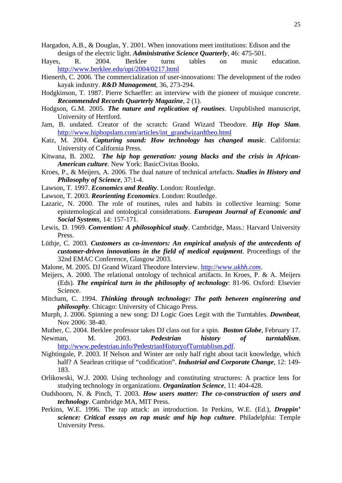- Hargadon, A.B., & Douglas, Y. 2001. When innovations meet institutions: Edison and the design of the electric light. *Administrative Science Quarterly*, 46: 475-501.
- Hayes, R. 2004. Berklee turns tables on music education. http://www.berklee.edu/opi/2004/0217.html
- Hienerth, C. 2006. The commercialization of user-innovations: The development of the rodeo kayak industry. *R&D Management*, 36, 273-294.
- Hodgkinson, T. 1987. Pierre Schaeffer: an interview with the pioneer of musique concrete. *Recommended Records Quarterly Magazine*, 2 (1).
- Hodgson, G.M. 2005. *The nature and replication of routines*. Unpublished manuscript, University of Hertford.
- Jam, B. undated. Creator of the scratch: Grand Wizard Theodore. *Hip Hop Slam*. http://www.hiphopslam.com/articles/int\_grandwizardtheo.html
- Katz, M. 2004. *Capturing sound: How technology has changed music*. California: University of California Press.
- Kitwana, B. 2002. *The hip hop generation: young blacks and the crisis in African-American culture*. New York: BasicCivitas Books.
- Kroes, P., & Meijers, A. 2006. The dual nature of technical artefacts. *Studies in History and Philosophy of Science*, 37:1-4.
- Lawson, T. 1997. *Economics and Reality*. London: Routledge.
- Lawson, T. 2003. *Reorienting Economics*. London: Routledge.
- Lazaric, N. 2000. The role of routines, rules and habits in collective learning: Some epistemological and ontological considerations. *European Journal of Economic and Social Systems*, 14: 157-171.
- Lewis, D. 1969. *Convention: A philosophical study*. Cambridge, Mass.: Harvard University Press.
- Lüthje, C. 2003. *Customers as co-inventors: An empirical analysis of the antecedents of customer-driven innovations in the field of medical equipment*. Proceedings of the 32nd EMAC Conference, Glasgow 2003.
- Malone, M. 2005. DJ Grand Wizard Theodore Interview. http://www.*ukhh.com*.
- Meijers, A. 2000. The relational ontology of technical artifacts. In Kroes, P. & A. Meijers (Eds). *The empirical turn in the philosophy of technology*: 81-96. Oxford: Elsevier Science.
- Mitcham, C. 1994. *Thinking through technology: The path between engineering and philosophy*. Chicago: University of Chicago Press.
- Murph, J. 2006. Spinning a new song: DJ Logic Goes Legit with the Turntables. *Downbeat*, Nov 2006: 38-40.

Muther, C. 2004. Berklee professor takes DJ class out for a spin*. Boston Globe*, February 17. Newman, M. 2003. *Pedestrian history of turntablism*. http://www.pedestrian.info/PedestrianHistoryofTurntablism.pdf.

Nightingale, P. 2003. If Nelson and Winter are only half right about tacit knowledge, which half? A Searlean critique of "codification". *Industrial and Corporate Change*, 12: 149- 183.

- Orlikowski, W.J. 2000. Using technology and constituting structures: A practice lens for studying technology in organizations. *Organization Science*, 11: 404-428.
- Oudshoorn, N. & Pinch, T. 2003. *How users matter: The co-construction of users and technology*. Cambridge MA, MIT Press.
- Perkins, W.E. 1996. The rap attack: an introduction. In Perkins, W.E. (Ed.), *Droppin' science: Critical essays on rap music and hip hop culture*. Philadelphia: Temple University Press.